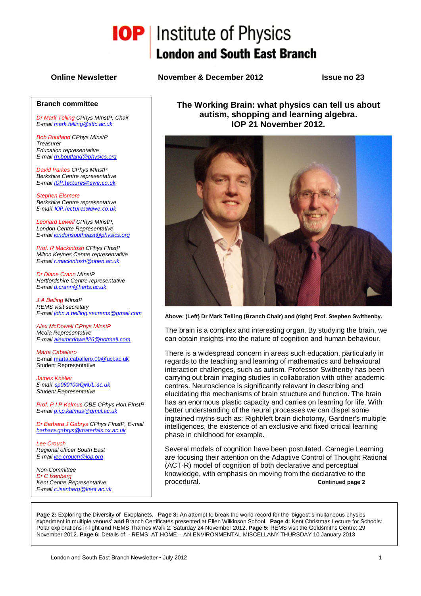#### **Branch committee**

*Dr Mark Telling CPhys MInstP, Chair E-mai[l mark.telling@stfc.ac.uk](mailto:mark.telling@stfc.ac.uk)*

*Bob Boutland CPhys MInstP Treasurer Education representative E-mai[l rh.boutland@physics.org](mailto:rh.boutland@physics.org)*

*David Parkes CPhys MInstP Berkshire Centre representative E-mail [IOP.lectures@awe.co.uk](mailto:IOP.lectures@awe.co.uk)*

*Stephen Elsmere Berkshire Centre representative E-mail [IOP.lectures@awe.co.uk](mailto:IOP.lectures@awe.co.uk)*

*Leonard Lewell CPhys MInstP, London Centre Representative E-mai[l londonsoutheast@physics.org](mailto:londonsoutheast@physics.org)*

*Prof. R Mackintosh CPhys FInstP Milton Keynes Centre representative E-mai[l r.mackintosh@open.ac.uk](mailto:r.mackintosh@open.ac.uk)*

*Dr Diane Crann MInstP Hertfordshire Centre representative E-mai[l d.crann@herts.ac.uk](mailto:d.crann@herts.ac.uk)*

*J A Belling MInstP REMS visit secretary E-mai[l john.a.belling.secrems@gmail.com](mailto:john.a.belling.secrems@gmail.com)*

*Alex McDowell CPhys MInstP Media Representative E-mai[l alexmcdowell26@hotmail.com](mailto:alexmcdowell26@hotmail.com)*

*Marta Caballero* E-mai[l marta.caballero.09@ucl.ac.uk](mailto:marta.caballero.09@ucl.ac.uk) Student Representative

*James Kneller E-mail [ap09010@QMUL.ac.uk](mailto:ap09010@QMUL.ac.uk) Student Representative*

*Prof. P I P Kalmus OBE CPhys Hon.FInstP E-mai[l p.i.p.kalmus@qmul.ac.uk](mailto:p.i.p.kalmus@qmul.ac.uk)*

*Dr Barbara J Gabrys CPhys FInstP, E-mail [barbara.gabrys@materials.ox.ac.uk](mailto:barbara.gabrys@materials.ox.ac.uk)*

*Lee Crouch Regional officer South East E-mai[l lee.crouch@iop.org](mailto:lee.crouch@iop.org)*

*Non-Committee Dr C Isenberg Kent Centre Representative E-mai[l c.isenberg@kent.ac.uk](mailto:c.isenberg@kent.ac.uk)*

# **IOP** Institute of Physics **London and South East Branch**

**Online Newsletter November & December 2012 Issue no 23**

**The Working Brain: what physics can tell us about autism, shopping and learning algebra. IOP 21 November 2012.**



**Above: (Left) Dr Mark Telling (Branch Chair) and (right) Prof. Stephen Swithenby.**

The brain is a complex and interesting organ. By studying the brain, we can obtain insights into the nature of cognition and human behaviour.

There is a widespread concern in areas such education, particularly in regards to the teaching and learning of mathematics and behavioural interaction challenges, such as autism. Professor Swithenby has been carrying out brain imaging studies in collaboration with other academic centres. Neuroscience is significantly relevant in describing and elucidating the mechanisms of brain structure and function. The brain has an enormous plastic capacity and carries on learning for life. With better understanding of the neural processes we can dispel some ingrained myths such as: Right/left brain dichotomy, Gardner's multiple intelligences, the existence of an exclusive and fixed critical learning phase in childhood for example.

Several models of cognition have been postulated. Carnegie Learning are focusing their attention on the Adaptive Control of Thought Rational (ACT-R) model of cognition of both declarative and perceptual knowledge, with emphasis on moving from the declarative to the procedural. **Continued page 2** 

**Page 2:** Exploring the Diversity of Exoplanets**. Page 3:** An attempt to break the world record for the 'biggest simultaneous physics experiment in multiple venues' **and** Branch Certificates presented at Ellen Wilkinson School. **Page 4:** Kent Christmas Lecture for Schools: Polar explorations in light **and** REMS Thames Walk 2: Saturday 24 November 2012. **Page 5:** REMS visit the Goldsmiths Centre: 29 November 2012. **Page 6:** Details of: - REMS AT HOME – AN ENVIRONMENTAL MISCELLANY THURSDAY 10 January 2013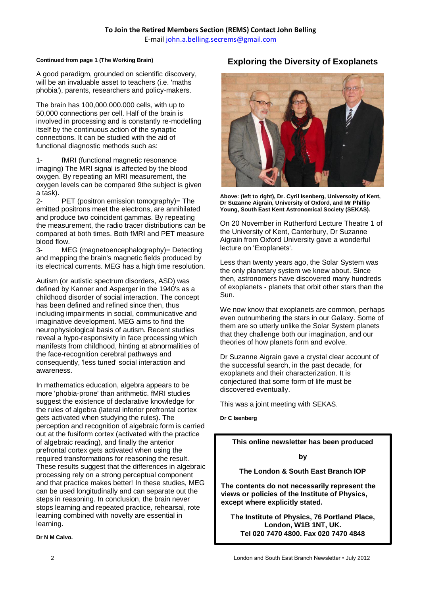#### **Continued from page 1 (The Working Brain)**

A good paradigm, grounded on scientific discovery, will be an invaluable asset to teachers (i.e. 'maths phobia'), parents, researchers and policy-makers.

The brain has 100,000.000.000 cells, with up to 50,000 connections per cell. Half of the brain is involved in processing and is constantly re-modelling itself by the continuous action of the synaptic connections. It can be studied with the aid of functional diagnostic methods such as:

1- fMRI (functional magnetic resonance imaging) The MRI signal is affected by the blood oxygen. By repeating an MRI measurement, the oxygen levels can be compared 9the subject is given a task).

2- PET (positron emission tomography)= The emitted positrons meet the electrons, are annihilated and produce two coincident gammas. By repeating the measurement, the radio tracer distributions can be compared at both times. Both fMRI and PET measure blood flow.

3- MEG (magnetoencephalography)= Detecting and mapping the brain's magnetic fields produced by its electrical currents. MEG has a high time resolution.

Autism (or autistic spectrum disorders, ASD) was defined by Kanner and Asperger in the 1940's as a childhood disorder of social interaction. The concept has been defined and refined since then, thus including impairments in social, communicative and imaginative development. MEG aims to find the neurophysiological basis of autism. Recent studies reveal a hypo-responsivity in face processing which manifests from childhood, hinting at abnormalities of the face-recognition cerebral pathways and consequently, 'less tuned' social interaction and awareness.

In mathematics education, algebra appears to be more 'phobia-prone' than arithmetic. fMRI studies suggest the existence of declarative knowledge for the rules of algebra (lateral inferior prefrontal cortex gets activated when studying the rules). The perception and recognition of algebraic form is carried out at the fusiform cortex (activated with the practice of algebraic reading), and finally the anterior prefrontal cortex gets activated when using the required transformations for reasoning the result. These results suggest that the differences in algebraic processing rely on a strong perceptual component and that practice makes better! In these studies, MEG can be used longitudinally and can separate out the steps in reasoning. In conclusion, the brain never stops learning and repeated practice, rehearsal, rote learning combined with novelty are essential in learning.

#### **Dr N M Calvo.**

## **Exploring the Diversity of Exoplanets**



**Above: (left to right), Dr. Cyril Isenberg, Universoity of Kent, Dr Suzanne Aigrain, University of Oxford, and Mr Phillip Young, South East Kent Astronomical Society (SEKAS).**

On 20 November in Rutherford Lecture Theatre 1 of the University of Kent, Canterbury, Dr Suzanne Aigrain from Oxford University gave a wonderful lecture on 'Exoplanets'.

Less than twenty years ago, the Solar System was the only planetary system we knew about. Since then, astronomers have discovered many hundreds of exoplanets - planets that orbit other stars than the Sun.

We now know that exoplanets are common, perhaps even outnumbering the stars in our Galaxy. Some of them are so utterly unlike the Solar System planets that they challenge both our imagination, and our theories of how planets form and evolve.

Dr Suzanne Aigrain gave a crystal clear account of the successful search, in the past decade, for exoplanets and their characterization. It is conjectured that some form of life must be discovered eventually.

This was a joint meeting with SEKAS.

**Dr C Isenberg**

**This online newsletter has been produced**

**by**

#### **The London & South East Branch IOP**

**The contents do not necessarily represent the views or policies of the Institute of Physics, except where explicitly stated.**

**The Institute of Physics, 76 Portland Place, London, W1B 1NT, UK. Tel 020 7470 4800. Fax 020 7470 4848**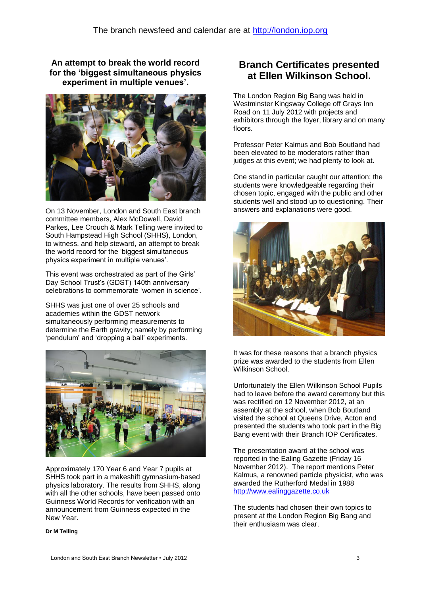**An attempt to break the world record for the 'biggest simultaneous physics experiment in multiple venues'.**



On 13 November, London and South East branch committee members, Alex McDowell, David Parkes, Lee Crouch & Mark Telling were invited to South Hampstead High School (SHHS), London, to witness, and help steward, an attempt to break the world record for the 'biggest simultaneous physics experiment in multiple venues'.

This event was orchestrated as part of the Girls' Day School Trust's (GDST) 140th anniversary celebrations to commemorate 'women in science'.

SHHS was just one of over 25 schools and academies within the GDST network simultaneously performing measurements to determine the Earth gravity; namely by performing 'pendulum' and 'dropping a ball' experiments.



Approximately 170 Year 6 and Year 7 pupils at SHHS took part in a makeshift gymnasium-based physics laboratory. The results from SHHS, along with all the other schools, have been passed onto Guinness World Records for verification with an announcement from Guinness expected in the New Year.

**Dr M Telling**

# **Branch Certificates presented at Ellen Wilkinson School.**

The London Region Big Bang was held in Westminster Kingsway College off Grays Inn Road on 11 July 2012 with projects and exhibitors through the foyer, library and on many floors.

Professor Peter Kalmus and Bob Boutland had been elevated to be moderators rather than judges at this event; we had plenty to look at.

One stand in particular caught our attention; the students were knowledgeable regarding their chosen topic, engaged with the public and other students well and stood up to questioning. Their answers and explanations were good.



It was for these reasons that a branch physics prize was awarded to the students from Ellen Wilkinson School.

Unfortunately the Ellen Wilkinson School Pupils had to leave before the award ceremony but this was rectified on 12 November 2012, at an assembly at the school, when Bob Boutland visited the school at Queens Drive, Acton and presented the students who took part in the Big Bang event with their Branch IOP Certificates.

The presentation award at the school was reported in the Ealing Gazette (Friday 16 November 2012). The report mentions Peter Kalmus, a renowned particle physicist, who was awarded the Rutherford Medal in 1988 [http://www.ealinggazette.co.uk](http://www.ealinggazette.co.uk/)

The students had chosen their own topics to present at the London Region Big Bang and their enthusiasm was clear.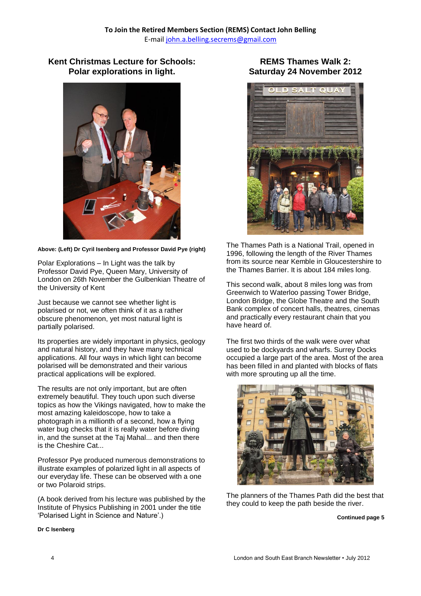# **Kent Christmas Lecture for Schools: Polar explorations in light.**



**Above: (Left) Dr Cyril Isenberg and Professor David Pye (right)**

Polar Explorations – In Light was the talk by Professor David Pye, Queen Mary, University of London on 26th November the Gulbenkian Theatre of the University of Kent

Just because we cannot see whether light is polarised or not, we often think of it as a rather obscure phenomenon, yet most natural light is partially polarised.

Its properties are widely important in physics, geology and natural history, and they have many technical applications. All four ways in which light can become polarised will be demonstrated and their various practical applications will be explored.

The results are not only important, but are often extremely beautiful. They touch upon such diverse topics as how the Vikings navigated, how to make the most amazing kaleidoscope, how to take a photograph in a millionth of a second, how a flying water bug checks that it is really water before diving in, and the sunset at the Taj Mahal... and then there is the Cheshire Cat...

Professor Pye produced numerous demonstrations to illustrate examples of polarized light in all aspects of our everyday life. These can be observed with a one or two Polaroid strips.

(A book derived from his lecture was published by the Institute of Physics Publishing in 2001 under the title 'Polarised Light in Science and Nature'.)

## **REMS Thames Walk 2: Saturday 24 November 2012**



The Thames Path is a National Trail, opened in 1996, following the length of the River Thames from its source near Kemble in Gloucestershire to the Thames Barrier. It is about 184 miles long.

This second walk, about 8 miles long was from Greenwich to Waterloo passing Tower Bridge, London Bridge, the Globe Theatre and the South Bank complex of concert halls, theatres, cinemas and practically every restaurant chain that you have heard of.

The first two thirds of the walk were over what used to be dockyards and wharfs. Surrey Docks occupied a large part of the area. Most of the area has been filled in and planted with blocks of flats with more sprouting up all the time.



The planners of the Thames Path did the best that they could to keep the path beside the river.

#### **Continued page 5**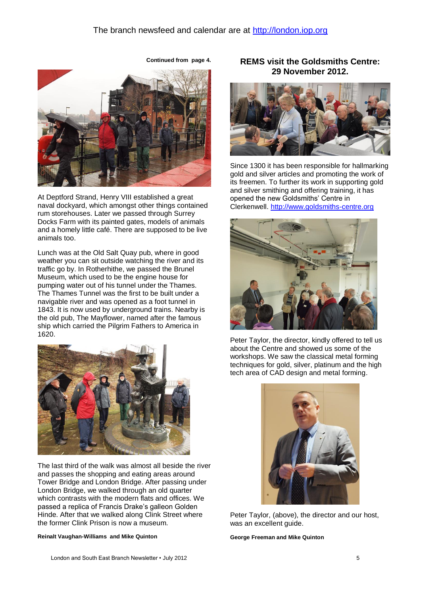

At Deptford Strand, Henry VIII established a great naval dockyard, which amongst other things contained rum storehouses. Later we passed through Surrey Docks Farm with its painted gates, models of animals and a homely little café. There are supposed to be live animals too.

Lunch was at the Old Salt Quay pub, where in good weather you can sit outside watching the river and its traffic go by. In Rotherhithe, we passed the Brunel Museum, which used to be the engine house for pumping water out of his tunnel under the Thames. The Thames Tunnel was the first to be built under a navigable river and was opened as a foot tunnel in 1843. It is now used by underground trains. Nearby is the old pub, The Mayflower, named after the famous ship which carried the Pilgrim Fathers to America in 1620.



The last third of the walk was almost all beside the river and passes the shopping and eating areas around Tower Bridge and London Bridge. After passing under London Bridge, we walked through an old quarter which contrasts with the modern flats and offices. We passed a replica of Francis Drake's galleon Golden Hinde. After that we walked along Clink Street where the former Clink Prison is now a museum.

#### **Reinalt Vaughan-Williams and Mike Quinton**

**REMS visit the Goldsmiths Centre: 29 November 2012.**



Since 1300 it has been responsible for hallmarking gold and silver articles and promoting the work of its freemen. To further its work in supporting gold and silver smithing and offering training, it has opened the new Goldsmiths' Centre in Clerkenwell[. http://www.goldsmiths-centre.org](http://www.goldsmiths-centre.org/)



Peter Taylor, the director, kindly offered to tell us about the Centre and showed us some of the workshops. We saw the classical metal forming techniques for gold, silver, platinum and the high tech area of CAD design and metal forming.



Peter Taylor, (above), the director and our host, was an excellent guide.

**George Freeman and Mike Quinton**